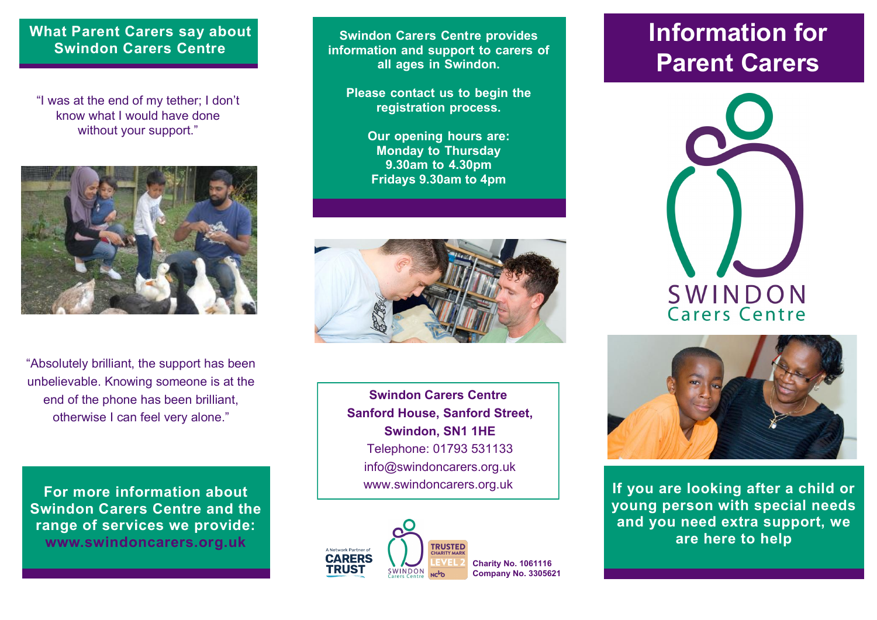#### **What Parent Carers say about Swindon Carers Centre**

"I was at the end of my tether; I don't know what I would have done without your support."



"Absolutely brilliant, the support has been unbelievable. Knowing someone is at the end of the phone has been brilliant, otherwise I can feel very alone."

**For more information about Swindon Carers Centre and the range of services we provide: www.swindoncarers.org.uk**

**Swindon Carers Centre provides information and support to carers of all ages in Swindon.** 

**Please contact us to begin the registration process.** 

> **Our opening hours are: Monday to Thursday 9.30am to 4.30pm Fridays 9.30am to 4pm**



**Swindon Carers Centre Sanford House, Sanford Street, Swindon, SN1 1HE** Telephone: 01793 531133 info@swindoncarers.org.uk www.swindoncarers.org.uk



# **Information for Parent Carers**





**If you are looking after a child or young person with special needs and you need extra support, we are here to help**